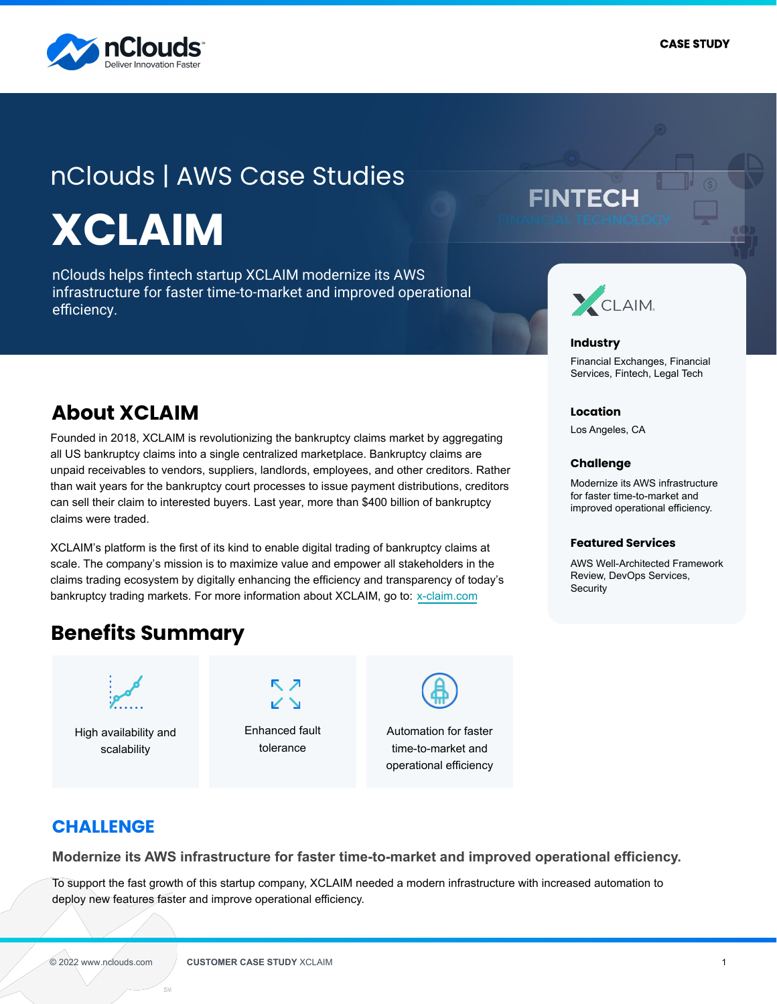

# nClouds | AWS Case Studies **XCLAIM**

nClouds helps fintech startup XCLAIM modernize its AWS infrastructure for faster time-to-market and improved operational efficiency.

## **FINTECH**



#### **Industry**

Financial Exchanges, Financial Services, Fintech, Legal Tech

#### **Location**

Los Angeles, CA

#### **Challenge**

Modernize its AWS infrastructure for faster time-to-market and improved operational efficiency.

#### **Featured Services**

AWS Well-Architected Framework Review, DevOps Services, **Security** 

### **About XCLAIM**

Founded in 2018, XCLAIM is revolutionizing the bankruptcy claims market by aggregating all US bankruptcy claims into a single centralized marketplace. Bankruptcy claims are unpaid receivables to vendors, suppliers, landlords, employees, and other creditors. Rather than wait years for the bankruptcy court processes to issue payment distributions, creditors can sell their claim to interested buyers. Last year, more than \$400 billion of bankruptcy claims were traded.

XCLAIM's platform is the first of its kind to enable digital trading of bankruptcy claims at scale. The company's mission is to maximize value and empower all stakeholders in the claims trading ecosystem by digitally enhancing the efficiency and transparency of today's bankruptcy trading markets. For more information about XCLAIM, go to: [x-claim.com](https://www.x-claim.com/)

### **Benefits Summary**



High availability and scalability



Enhanced fault tolerance



Automation for faster time-to-market and operational efficiency

### **CHALLENGE**

**Modernize its AWS infrastructure for faster time-to-market and improved operational efficiency.**

To support the fast growth of this startup company, XCLAIM needed a modern infrastructure with increased automation to deploy new features faster and improve operational efficiency.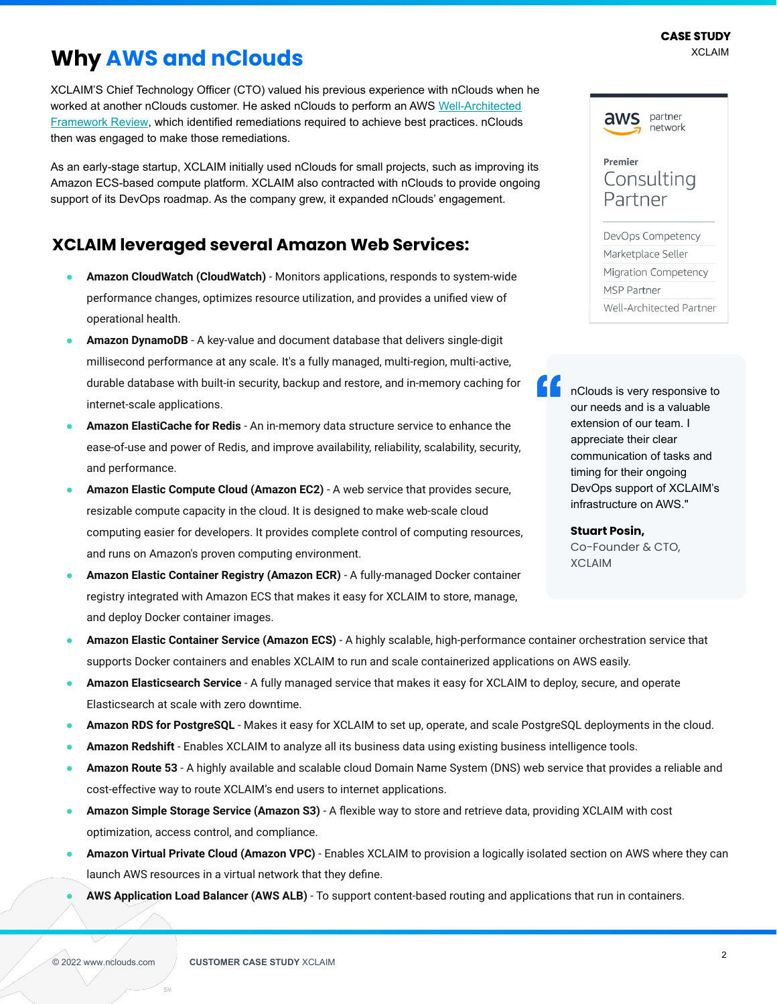#### XCLAIM **CASE STUDY**

### **Why AWS and nClouds**

XCLAIM'S Chief Technology Officer (CTO) valued his previous experience with nClouds when he worked at another nClouds customer. He asked nClouds to perform an AWS [Well-Architected](https://www.nclouds.com/solutions/aws-well-architected-reviews) [Framework Review,](https://www.nclouds.com/solutions/aws-well-architected-reviews) which identified remediations required to achieve best practices. nClouds then was engaged to make those remediations.

As an early-stage startup, XCLAIM initially used nClouds for small projects, such as improving its Amazon ECS-based compute platform. XCLAIM also contracted with nClouds to provide ongoing support of its DevOps roadmap. As the company grew, it expanded nClouds' engagement.

### **XCLAIM leveraged several Amazon Web Services:**

- **Amazon CloudWatch (CloudWatch)** Monitors applications, responds to system-wide performance changes, optimizes resource utilization, and provides a unified view of operational health.
- Amazon DynamoDB A key-value and document database that delivers single-digit millisecond performance at any scale. It's a fully managed, multi-region, multi-active, durable database with built-in security, backup and restore, and in-memory caching for internet-scale applications.
- Amazon ElastiCache for Redis An in-memory data structure service to enhance the ease-of-use and power of Redis, and improve availability, reliability, scalability, security, and performance.
- Amazon Elastic Compute Cloud (Amazon EC2) A web service that provides secure, resizable compute capacity in the cloud. It is designed to make web-scale cloud computing easier for developers. It provides complete control of computing resources, and runs on Amazon's proven computing environment.
- Amazon Elastic Container Registry (Amazon ECR) A fully-managed Docker container registry integrated with Amazon ECS that makes it easy for XCLAIM to store, manage, and deploy Docker container images.

Premier Consulting Partner DevOps Competency Marketplace Seller Migration Competency

Well-Architected Partner

MSP Partner

partner

network

aws

nClouds is very responsive to our needs and is a valuable extension of our team. I appreciate their clear communication of tasks and timing for their ongoing DevOps support of XCLAIM's infrastructure on AWS."

#### **Stuart Posin,**

Co-Founder & CTO, XCLAIM

- **Amazon Elastic Container Service (Amazon ECS)** A highly scalable, high-performance container orchestration service that supports Docker containers and enables XCLAIM to run and scale containerized applications on AWS easily.
- **Amazon Elasticsearch Service** A fully managed service that makes it easy for XCLAIM to deploy, secure, and operate Elasticsearch at scale with zero downtime.
- Amazon RDS for PostgreSQL Makes it easy for XCLAIM to set up, operate, and scale PostgreSQL deployments in the cloud.
- Amazon Redshift Enables XCLAIM to analyze all its business data using existing business intelligence tools.
- Amazon Route 53 A highly available and scalable cloud Domain Name System (DNS) web service that provides a reliable and cost-effective way to route XCLAIM's end users to internet applications.
- **Amazon Simple Storage Service (Amazon S3)** A flexible way to store and retrieve data, providing XCLAIM with cost optimization, access control, and compliance.
- **Amazon Virtual Private Cloud (Amazon VPC)** Enables XCLAIM to provision a logically isolated section on AWS where they can launch AWS resources in a virtual network that they define.
- AWS Application Load Balancer (AWS ALB) To support content-based routing and applications that run in containers.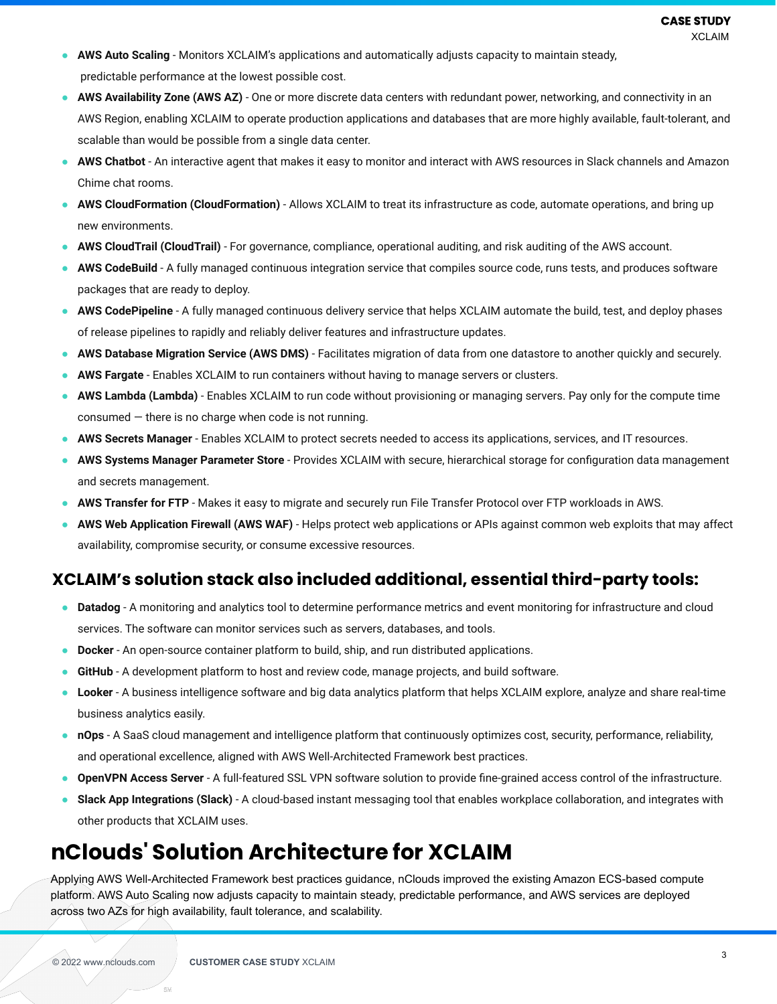- **AWS Auto Scaling**  Monitors XCLAIM's applications and automatically adjusts capacity to maintain steady, predictable performance at the lowest possible cost.
- AWS Availability Zone (AWS AZ) One or more discrete data centers with redundant power, networking, and connectivity in an AWS Region, enabling XCLAIM to operate production applications and databases that are more highly available, fault-tolerant, and scalable than would be possible from a single data center.
- AWS Chatbot An interactive agent that makes it easy to monitor and interact with AWS resources in Slack channels and Amazon Chime chat rooms.
- **AWS CloudFormation (CloudFormation)** Allows XCLAIM to treat its infrastructure as code, automate operations, and bring up new environments.
- **AWS CloudTrail (CloudTrail)** For governance, compliance, operational auditing, and risk auditing of the AWS account.
- AWS CodeBuild A fully managed continuous integration service that compiles source code, runs tests, and produces software packages that are ready to deploy.
- AWS CodePipeline A fully managed continuous delivery service that helps XCLAIM automate the build, test, and deploy phases of release pipelines to rapidly and reliably deliver features and infrastructure updates.
- **AWS Database Migration Service (AWS DMS)** Facilitates migration of data from one datastore to another quickly and securely.
- **AWS Fargate** Enables XCLAIM to run containers without having to manage servers or clusters.
- AWS Lambda (Lambda) Enables XCLAIM to run code without provisioning or managing servers. Pay only for the compute time  $cosumed$  – there is no charge when code is not running.
- **AWS Secrets Manager** Enables XCLAIM to protect secrets needed to access its applications, services, and IT resources.
- **AWS Systems Manager Parameter Store** Provides XCLAIM with secure, hierarchical storage for configuration data management and secrets management.
- AWS Transfer for FTP Makes it easy to migrate and securely run File Transfer Protocol over FTP workloads in AWS.
- AWS Web Application Firewall (AWS WAF) Helps protect web applications or APIs against common web exploits that may affect availability, compromise security, or consume excessive resources.

### **XCLAIM's solution stack also included additional, essential third-party tools:**

- **Datadog** A monitoring and analytics tool to determine performance metrics and event monitoring for infrastructure and cloud services. The software can monitor services such as servers, databases, and tools.
- **Docker** An open-source container platform to build, ship, and run distributed applications.
- **GitHub** A development platform to host and review code, manage projects, and build software.
- **Looker** A business intelligence software and big data analytics platform that helps XCLAIM explore, analyze and share real-time business analytics easily.
- **nOps** A SaaS cloud management and intelligence platform that continuously optimizes cost, security, performance, reliability, and operational excellence, aligned with AWS Well-Architected Framework best practices.
- **OpenVPN Access Server** A full-featured SSL VPN software solution to provide fine-grained access control of the infrastructure.
- **Slack App Integrations (Slack)** A cloud-based instant messaging tool that enables workplace collaboration, and integrates with other products that XCLAIM uses.

### **nClouds' Solution Architecture for XCLAIM**

Applying AWS Well-Architected Framework best practices guidance, nClouds improved the existing Amazon ECS-based compute platform. AWS Auto Scaling now adjusts capacity to maintain steady, predictable performance, and AWS services are deployed across two AZs for high availability, fault tolerance, and scalability.

es c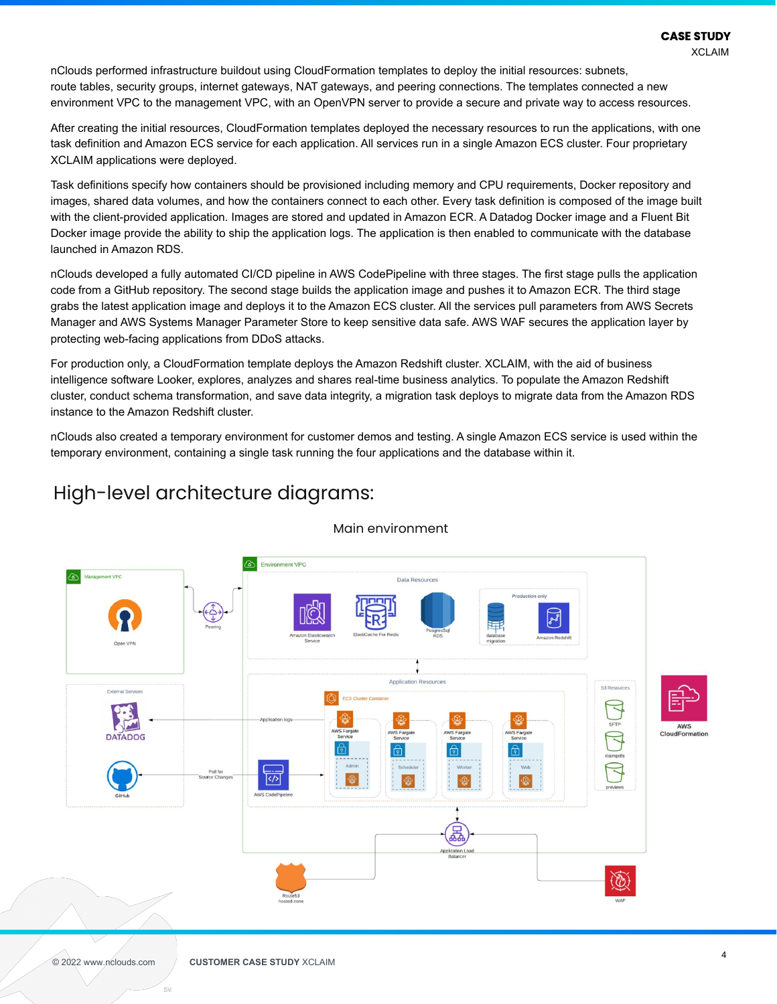XCLAIM

nClouds performed infrastructure buildout using CloudFormation templates to deploy the initial resources: subnets, route tables, security groups, internet gateways, NAT gateways, and peering connections. The templates connected a new environment VPC to the management VPC, with an OpenVPN server to provide a secure and private way to access resources.

After creating the initial resources, CloudFormation templates deployed the necessary resources to run the applications, with one task definition and Amazon ECS service for each application. All services run in a single Amazon ECS cluster. Four proprietary XCLAIM applications were deployed.

Task definitions specify how containers should be provisioned including memory and CPU requirements, Docker repository and images, shared data volumes, and how the containers connect to each other. Every task definition is composed of the image built with the client-provided application. Images are stored and updated in Amazon ECR. A Datadog Docker image and a Fluent Bit Docker image provide the ability to ship the application logs. The application is then enabled to communicate with the database launched in Amazon RDS.

nClouds developed a fully automated CI/CD pipeline in AWS CodePipeline with three stages. The first stage pulls the application code from a GitHub repository. The second stage builds the application image and pushes it to Amazon ECR. The third stage grabs the latest application image and deploys it to the Amazon ECS cluster. All the services pull parameters from AWS Secrets Manager and AWS Systems Manager Parameter Store to keep sensitive data safe. AWS WAF secures the application layer by protecting web-facing applications from DDoS attacks.

For production only, a CloudFormation template deploys the Amazon Redshift cluster. XCLAIM, with the aid of business intelligence software Looker, explores, analyzes and shares real-time business analytics. To populate the Amazon Redshift cluster, conduct schema transformation, and save data integrity, a migration task deploys to migrate data from the Amazon RDS instance to the Amazon Redshift cluster.

nClouds also created a temporary environment for customer demos and testing. A single Amazon ECS service is used within the temporary environment, containing a single task running the four applications and the database within it.



#### Main environment

es c

High-level architecture diagrams: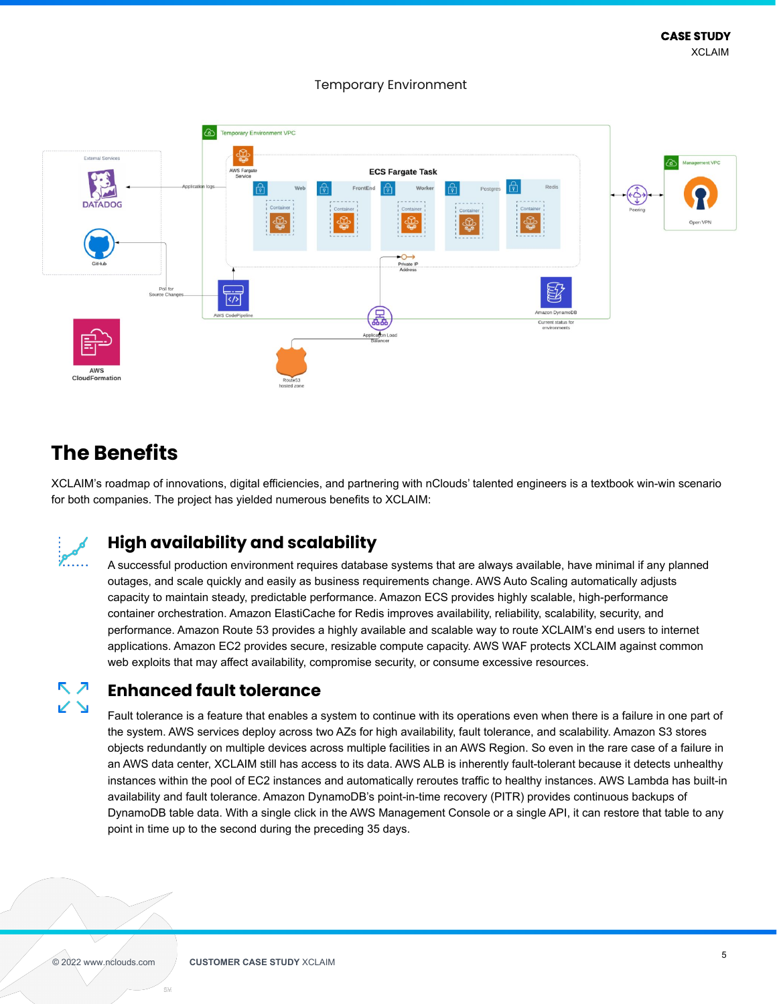**Temporary Environment VPC ECS Fargate Task** Private IP<br>Address AWS

#### Temporary Environment

### **The Benefits**

XCLAIM's roadmap of innovations, digital efficiencies, and partnering with nClouds' talented engineers is a textbook win-win scenario for both companies. The project has yielded numerous benefits to XCLAIM:



### **High availability and scalability**

A successful production environment requires database systems that are always available, have minimal if any planned outages, and scale quickly and easily as business requirements change. AWS Auto Scaling automatically adjusts capacity to maintain steady, predictable performance. Amazon ECS provides highly scalable, high-performance container orchestration. Amazon ElastiCache for Redis improves availability, reliability, scalability, security, and performance. Amazon Route 53 provides a highly available and scalable way to route XCLAIM's end users to internet applications. Amazon EC2 provides secure, resizable compute capacity. AWS WAF protects XCLAIM against common web exploits that may affect availability, compromise security, or consume excessive resources.

#### <u>қ л</u> **Enhanced fault tolerance**

Fault tolerance is a feature that enables a system to continue with its operations even when there is a failure in one part of the system. AWS services deploy across two AZs for high availability, fault tolerance, and scalability. Amazon S3 stores objects redundantly on multiple devices across multiple facilities in an AWS Region. So even in the rare case of a failure in an AWS data center, XCLAIM still has access to its data. AWS ALB is inherently fault-tolerant because it detects unhealthy instances within the pool of EC2 instances and automatically reroutes traffic to healthy instances. AWS Lambda has built-in availability and fault tolerance. Amazon DynamoDB's point-in-time recovery (PITR) provides continuous backups of DynamoDB table data. With a single click in the AWS Management Console or a single API, it can restore that table to any point in time up to the second during the preceding 35 days.